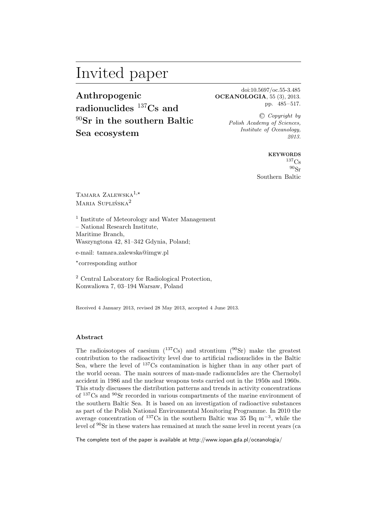# Invited paper

**Anthropogenic radionuclides** <sup>137</sup>**Cs and** <sup>90</sup>**Sr in the southern Baltic Sea ecosystem**

doi:10.5697/oc.55-3.485 **OCEANOLOGIA**, 55 (3), 2013. pp. 485–517.

> C *Copyright by Polish Academy of Sciences, Institute of Oceanology, 2013.*

> > **KEYWORDS**  $137<sub>Cs</sub>$ <sup>90</sup>Sr Southern Baltic

TAMARA ZALEWSKA<sup>1,\*</sup> Maria Suplińska2

1 Institute of Meteorology and Water Management – National Research Institute, Maritime Branch, Waszyngtona 42, 81–342 Gdynia, Poland;

e-mail: tamara.zalewska@imgw.pl

⋆ corresponding author

<sup>2</sup> Central Laboratory for Radiological Protection, Konwaliowa 7, 03–194 Warsaw, Poland

Received 4 January 2013, revised 28 May 2013, accepted 4 June 2013.

#### **Abstract**

The radioisotopes of caesium  $(^{137}\text{Cs})$  and strontium  $(^{90}\text{Sr})$  make the greatest contribution to the radioactivity level due to artificial radionuclides in the Baltic Sea, where the level of <sup>137</sup>Cs contamination is higher than in any other part of the world ocean. The main sources of man-made radionuclides are the Chernobyl accident in 1986 and the nuclear weapons tests carried out in the 1950s and 1960s. This study discusses the distribution patterns and trends in activity concentrations of <sup>137</sup>Cs and <sup>90</sup>Sr recorded in various compartments of the marine environment of the southern Baltic Sea. It is based on an investigation of radioactive substances as part of the Polish National Environmental Monitoring Programme. In 2010 the average concentration of <sup>137</sup>Cs in the southern Baltic was  $35$  Bq m<sup>-3</sup>, while the level of <sup>90</sup>Sr in these waters has remained at much the same level in recent years (ca

The complete text of the paper is available at http://www.iopan.gda.pl/oceanologia/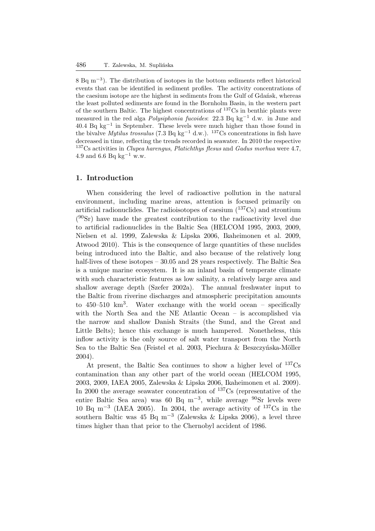8 Bq m<sup>-3</sup>). The distribution of isotopes in the bottom sediments reflect historical events that can be identified in sediment profiles. The activity concentrations of the caesium isotope are the highest in sediments from the Gulf of Gdańsk, whereas the least polluted sediments are found in the Bornholm Basin, in the western part of the southern Baltic. The highest concentrations of <sup>137</sup>Cs in benthic plants were measured in the red alga *Polysiphonia fucoides*: 22.3 Bq kg−<sup>1</sup> d.w. in June and 40.4 Bq kg−<sup>1</sup> in September. These levels were much higher than those found in the bivalve *Mytilus trossulus* (7.3 Bq kg−<sup>1</sup> d.w.). <sup>137</sup>Cs concentrations in fish have decreased in time, reflecting the trends recorded in seawater. In 2010 the respective <sup>137</sup>Cs activities in *Clupea harengus*, *Platichthys flesus* and *Gadus morhua* were 4.7, 4.9 and 6.6 Bq kg<sup>-1</sup> w.w.

## **1. Introduction**

When considering the level of radioactive pollution in the natural environment, including marine areas, attention is focused primarily on artificial radionuclides. The radioisotopes of caesium  $(^{137}Cs)$  and strontium  $(^{90}Sr)$  have made the greatest contribution to the radioactivity level due to artificial radionuclides in the Baltic Sea (HELCOM 1995, 2003, 2009, Nielsen et al. 1999, Zalewska & Lipska 2006, Ikaheimonen et al. 2009, Atwood 2010). This is the consequence of large quantities of these nuclides being introduced into the Baltic, and also because of the relatively long half-lives of these isotopes – 30.05 and 28 years respectively. The Baltic Sea is a unique marine ecosystem. It is an inland basin of temperate climate with such characteristic features as low salinity, a relatively large area and shallow average depth (Szefer 2002a). The annual freshwater input to the Baltic from riverine discharges and atmospheric precipitation amounts to  $450-510 \text{ km}^3$ . Water exchange with the world ocean – specifically with the North Sea and the NE Atlantic Ocean – is accomplished via the narrow and shallow Danish Straits (the Sund, and the Great and Little Belts); hence this exchange is much hampered. Nonetheless, this inflow activity is the only source of salt water transport from the North Sea to the Baltic Sea (Feistel et al. 2003, Piechura & Beszczyńska-Möller 2004).

At present, the Baltic Sea continues to show a higher level of <sup>137</sup>Cs contamination than any other part of the world ocean (HELCOM 1995, 2003, 2009, IAEA 2005, Zalewska & Lipska 2006, Ikaheimonen et al. 2009). In 2000 the average seawater concentration of  $137Cs$  (representative of the entire Baltic Sea area) was 60 Bq m<sup>-3</sup>, while average <sup>90</sup>Sr levels were 10 Bq m−<sup>3</sup> (IAEA 2005). In 2004, the average activity of <sup>137</sup>Cs in the southern Baltic was 45 Bq m−<sup>3</sup> (Zalewska & Lipska 2006), a level three times higher than that prior to the Chernobyl accident of 1986.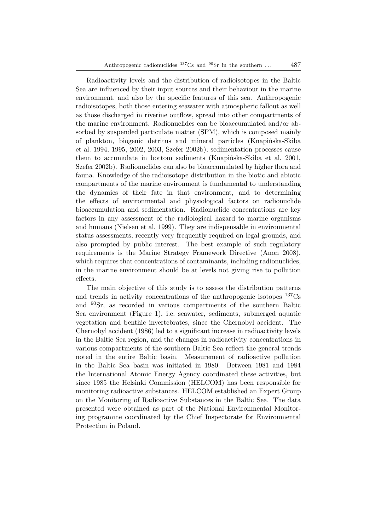Radioactivity levels and the distribution of radioisotopes in the Baltic Sea are influenced by their input sources and their behaviour in the marine environment, and also by the specific features of this sea. Anthropogenic radioisotopes, both those entering seawater with atmospheric fallout as well as those discharged in riverine outflow, spread into other compartments of the marine environment. Radionuclides can be bioaccumulated and/or absorbed by suspended particulate matter (SPM), which is composed mainly of plankton, biogenic detritus and mineral particles (Knapińska-Skiba et al. 1994, 1995, 2002, 2003, Szefer 2002b); sedimentation processes cause them to accumulate in bottom sediments (Knapińska-Skiba et al. 2001, Szefer 2002b). Radionuclides can also be bioaccumulated by higher flora and fauna. Knowledge of the radioisotope distribution in the biotic and abiotic compartments of the marine environment is fundamental to understanding the dynamics of their fate in that environment, and to determining the effects of environmental and physiological factors on radionuclide bioaccumulation and sedimentation. Radionuclide concentrations are key factors in any assessment of the radiological hazard to marine organisms and humans (Nielsen et al. 1999). They are indispensable in environmental status assessments, recently very frequently required on legal grounds, and also prompted by public interest. The best example of such regulatory requirements is the Marine Strategy Framework Directive (Anon 2008), which requires that concentrations of contaminants, including radionuclides, in the marine environment should be at levels not giving rise to pollution effects.

The main objective of this study is to assess the distribution patterns and trends in activity concentrations of the anthropogenic isotopes  $^{137}Cs$ and <sup>90</sup>Sr, as recorded in various compartments of the southern Baltic Sea environment (Figure 1), i.e. seawater, sediments, submerged aquatic vegetation and benthic invertebrates, since the Chernobyl accident. The Chernobyl accident (1986) led to a significant increase in radioactivity levels in the Baltic Sea region, and the changes in radioactivity concentrations in various compartments of the southern Baltic Sea reflect the general trends noted in the entire Baltic basin. Measurement of radioactive pollution in the Baltic Sea basin was initiated in 1980. Between 1981 and 1984 the International Atomic Energy Agency coordinated these activities, but since 1985 the Helsinki Commission (HELCOM) has been responsible for monitoring radioactive substances. HELCOM established an Expert Group on the Monitoring of Radioactive Substances in the Baltic Sea. The data presented were obtained as part of the National Environmental Monitoring programme coordinated by the Chief Inspectorate for Environmental Protection in Poland.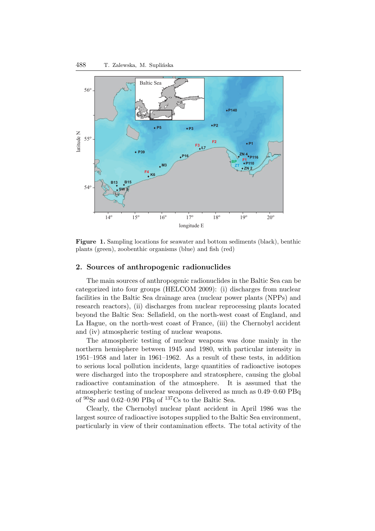

**Figure 1.** Sampling locations for seawater and bottom sediments (black), benthic plants (green), zoobenthic organisms (blue) and fish (red)

## **2. Sources of anthropogenic radionuclides**

The main sources of anthropogenic radionuclides in the Baltic Sea can be categorized into four groups (HELCOM 2009): (i) discharges from nuclear facilities in the Baltic Sea drainage area (nuclear power plants (NPPs) and research reactors), (ii) discharges from nuclear reprocessing plants located beyond the Baltic Sea: Sellafield, on the north-west coast of England, and La Hague, on the north-west coast of France, (iii) the Chernobyl accident and (iv) atmospheric testing of nuclear weapons.

The atmospheric testing of nuclear weapons was done mainly in the northern hemisphere between 1945 and 1980, with particular intensity in 1951–1958 and later in 1961–1962. As a result of these tests, in addition to serious local pollution incidents, large quantities of radioactive isotopes were discharged into the troposphere and stratosphere, causing the global radioactive contamination of the atmosphere. It is assumed that the atmospheric testing of nuclear weapons delivered as much as 0.49–0.60 PBq of  $90\text{Sr}$  and 0.62–0.90 PBq of  $137\text{Cs}$  to the Baltic Sea.

Clearly, the Chernobyl nuclear plant accident in April 1986 was the largest source of radioactive isotopes supplied to the Baltic Sea environment, particularly in view of their contamination effects. The total activity of the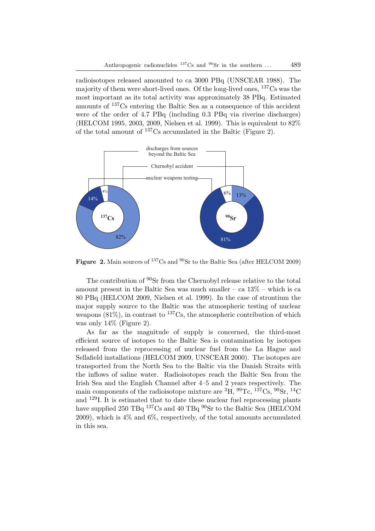radioisotopes released amounted to ca 3000 PBq (UNSCEAR 1988). The majority of them were short-lived ones. Of the long-lived ones, <sup>137</sup>Cs was the most important as its total activity was approximately 38 PBq. Estimated amounts of <sup>137</sup>Cs entering the Baltic Sea as a consequence of this accident were of the order of 4.7 PBq (including 0.3 PBq via riverine discharges) (HELCOM 1995, 2003, 2009, Nielsen et al. 1999). This is equivalent to 82% of the total amount of <sup>137</sup>Cs accumulated in the Baltic (Figure 2).



**Figure 2.** Main sources of <sup>137</sup>Cs and <sup>90</sup>Sr to the Baltic Sea (after HELCOM 2009)

The contribution of <sup>90</sup>Sr from the Chernobyl release relative to the total amount present in the Baltic Sea was much smaller – ca  $13\%$  – which is ca 80 PBq (HELCOM 2009, Nielsen et al. 1999). In the case of strontium the major supply source to the Baltic was the atmospheric testing of nuclear weapons  $(81\%)$ , in contrast to <sup>137</sup>Cs, the atmospheric contribution of which was only 14% (Figure 2).

As far as the magnitude of supply is concerned, the third-most efficient source of isotopes to the Baltic Sea is contamination by isotopes released from the reprocessing of nuclear fuel from the La Hague and Sellafield installations (HELCOM 2009, UNSCEAR 2000). The isotopes are transported from the North Sea to the Baltic via the Danish Straits with the inflows of saline water. Radioisotopes reach the Baltic Sea from the Irish Sea and the English Channel after 4–5 and 2 years respectively. The main components of the radioisotope mixture are  ${}^{3}H, {}^{99}Te, {}^{137}Cs, {}^{90}Sr, {}^{14}C$ and <sup>129</sup>I. It is estimated that to date these nuclear fuel reprocessing plants have supplied 250 TBq <sup>137</sup>Cs and 40 TBq <sup>90</sup>Sr to the Baltic Sea (HELCOM 2009), which is 4% and 6%, respectively, of the total amounts accumulated in this sea.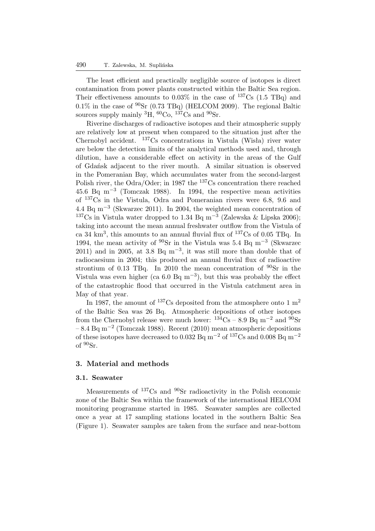The least efficient and practically negligible source of isotopes is direct contamination from power plants constructed within the Baltic Sea region. Their effectiveness amounts to  $0.03\%$  in the case of  $137Cs$  (1.5 TBq) and  $0.1\%$  in the case of  $90\text{Sr}$  (0.73 TBq) (HELCOM 2009). The regional Baltic sources supply mainly  ${}^{3}H$ ,  ${}^{60}Co$ ,  ${}^{137}Cs$  and  ${}^{90}Sr$ .

Riverine discharges of radioactive isotopes and their atmospheric supply are relatively low at present when compared to the situation just after the Chernobyl accident. <sup>137</sup>Cs concentrations in Vistula (Wisła) river water are below the detection limits of the analytical methods used and, through dilution, have a considerable effect on activity in the areas of the Gulf of Gdańsk adjacent to the river mouth. A similar situation is observed in the Pomeranian Bay, which accumulates water from the second-largest Polish river, the Odra/Oder; in 1987 the <sup>137</sup>Cs concentration there reached 45.6 Bq m−<sup>3</sup> (Tomczak 1988). In 1994, the respective mean activities of <sup>137</sup>Cs in the Vistula, Odra and Pomeranian rivers were 6.8, 9.6 and 4.4 Bq m−<sup>3</sup> (Skwarzec 2011). In 2004, the weighted mean concentration of <sup>137</sup>Cs in Vistula water dropped to 1.34 Bq m<sup>-3</sup> (Zalewska & Lipska 2006); taking into account the mean annual freshwater outflow from the Vistula of ca 34  $\mathrm{km}^3$ , this amounts to an annual fluvial flux of  $^{137}\mathrm{Cs}$  of 0.05 TBq. In 1994, the mean activity of <sup>90</sup>Sr in the Vistula was 5.4 Bq m−<sup>3</sup> (Skwarzec  $2011)$  and in 2005, at 3.8 Bq m<sup>-3</sup>, it was still more than double that of radiocaesium in 2004; this produced an annual fluvial flux of radioactive strontium of 0.13 TBq. In 2010 the mean concentration of <sup>90</sup>Sr in the Vistula was even higher (ca  $6.0 \text{ Bq m}^{-3}$ ), but this was probably the effect of the catastrophic flood that occurred in the Vistula catchment area in May of that year.

In 1987, the amount of <sup>137</sup>Cs deposited from the atmosphere onto 1 m<sup>2</sup> of the Baltic Sea was 26 Bq. Atmospheric depositions of other isotopes from the Chernobyl release were much lower:  $134\text{Cs} - 8.9 \text{Bg m}^{-2}$  and  $90\text{Sr}$ – 8.4 Bq m−<sup>2</sup> (Tomczak 1988). Recent (2010) mean atmospheric depositions of these isotopes have decreased to 0.032 Bq m<sup>-2</sup> of <sup>137</sup>Cs and 0.008 Bq m<sup>-2</sup> of  $90$ Sr.

## **3. Material and methods**

## **3.1. Seawater**

Measurements of <sup>137</sup>Cs and <sup>90</sup>Sr radioactivity in the Polish economic zone of the Baltic Sea within the framework of the international HELCOM monitoring programme started in 1985. Seawater samples are collected once a year at 17 sampling stations located in the southern Baltic Sea (Figure 1). Seawater samples are taken from the surface and near-bottom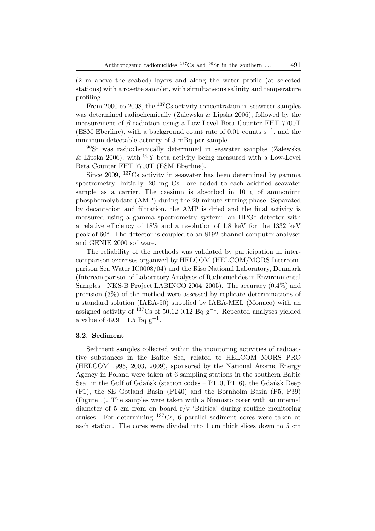(2 m above the seabed) layers and along the water profile (at selected stations) with a rosette sampler, with simultaneous salinity and temperature profiling.

From 2000 to 2008, the <sup>137</sup>Cs activity concentration in seawater samples was determined radiochemically (Zalewska & Lipska 2006), followed by the measurement of β-radiation using a Low-Level Beta Counter FHT 7700T (ESM Eberline), with a background count rate of 0.01 counts s−<sup>1</sup> , and the minimum detectable activity of 3 mBq per sample.

<sup>90</sup>Sr was radiochemically determined in seawater samples (Zalewska & Lipska 2006), with  $90Y$  beta activity being measured with a Low-Level Beta Counter FHT 7700T (ESM Eberline).

Since 2009, <sup>137</sup>Cs activity in seawater has been determined by gamma spectrometry. Initially,  $20 \text{ mg } \text{Cs}^+$  are added to each acidified seawater sample as a carrier. The caesium is absorbed in 10 g of ammonium phosphomolybdate (AMP) during the 20 minute stirring phase. Separated by decantation and filtration, the AMP is dried and the final activity is measured using a gamma spectrometry system: an HPGe detector with a relative efficiency of 18% and a resolution of 1.8 keV for the 1332 keV peak of 60◦ . The detector is coupled to an 8192-channel computer analyser and GENIE 2000 software.

The reliability of the methods was validated by participation in intercomparison exercises organized by HELCOM (HELCOM/MORS Intercomparison Sea Water IC0008/04) and the Riso National Laboratory, Denmark (Intercomparison of Laboratory Analyses of Radionuclides in Environmental Samples – NKS-B Project LABINCO 2004–2005). The accuracy (0.4%) and precision (3%) of the method were assessed by replicate determinations of a standard solution (IAEA-50) supplied by IAEA-MEL (Monaco) with an assigned activity of  $137Cs$  of 50.12 0.12 Bq g<sup>-1</sup>. Repeated analyses yielded a value of  $49.9 \pm 1.5$  Bq  $g^{-1}$ .

## **3.2. Sediment**

Sediment samples collected within the monitoring activities of radioactive substances in the Baltic Sea, related to HELCOM MORS PRO (HELCOM 1995, 2003, 2009), sponsored by the National Atomic Energy Agency in Poland were taken at 6 sampling stations in the southern Baltic Sea: in the Gulf of Gdańsk (station codes – P110, P116), the Gdańsk Deep (P1), the SE Gotland Basin (P140) and the Bornholm Basin (P5, P39)  $(Figure 1)$ . The samples were taken with a Niemistö corer with an internal diameter of 5 cm from on board  $r/v$  'Baltica' during routine monitoring cruises. For determining <sup>137</sup>Cs, 6 parallel sediment cores were taken at each station. The cores were divided into 1 cm thick slices down to 5 cm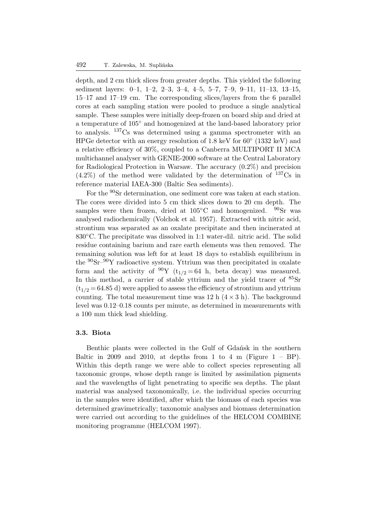depth, and 2 cm thick slices from greater depths. This yielded the following sediment layers: 0–1, 1–2, 2–3, 3–4, 4–5, 5–7, 7–9, 9–11, 11–13, 13–15, 15–17 and 17–19 cm. The corresponding slices/layers from the 6 parallel cores at each sampling station were pooled to produce a single analytical sample. These samples were initially deep-frozen on board ship and dried at a temperature of 105◦ and homogenized at the land-based laboratory prior to analysis. <sup>137</sup>Cs was determined using a gamma spectrometer with an HPGe detector with an energy resolution of 1.8 keV for 60 $^{\circ}$  (1332 keV) and a relative efficiency of 30%, coupled to a Canberra MULTIPORT II MCA multichannel analyser with GENIE-2000 software at the Central Laboratory for Radiological Protection in Warsaw. The accuracy (0.2%) and precision  $(4.2\%)$  of the method were validated by the determination of  $137Cs$  in reference material IAEA-300 (Baltic Sea sediments).

For the <sup>90</sup>Sr determination, one sediment core was taken at each station. The cores were divided into 5 cm thick slices down to 20 cm depth. The samples were then frozen, dried at  $105^{\circ}$ C and homogenized.  $90$ Sr was analysed radiochemically (Volchok et al. 1957). Extracted with nitric acid, strontium was separated as an oxalate precipitate and then incinerated at 830◦C. The precipitate was dissolved in 1:1 water-dil. nitric acid. The solid residue containing barium and rare earth elements was then removed. The remaining solution was left for at least 18 days to establish equilibrium in the  ${}^{90}\text{Sr}{}^{-90}\text{Y}$  radioactive system. Yttrium was then precipitated in oxalate form and the activity of <sup>90</sup>Y ( $t_{1/2} = 64$  h, beta decay) was measured. In this method, a carrier of stable yttrium and the yield tracer of  ${}^{85}Sr$  $(t_{1/2} = 64.85 d)$  were applied to assess the efficiency of strontium and yttrium counting. The total measurement time was 12 h  $(4 \times 3)$  h). The background level was 0.12–0.18 counts per minute, as determined in measurements with a 100 mm thick lead shielding.

## **3.3. Biota**

Benthic plants were collected in the Gulf of Gdańsk in the southern Baltic in 2009 and 2010, at depths from 1 to 4 m (Figure  $1 - BP$ ). Within this depth range we were able to collect species representing all taxonomic groups, whose depth range is limited by assimilation pigments and the wavelengths of light penetrating to specific sea depths. The plant material was analysed taxonomically, i.e. the individual species occurring in the samples were identified, after which the biomass of each species was determined gravimetrically; taxonomic analyses and biomass determination were carried out according to the guidelines of the HELCOM COMBINE monitoring programme (HELCOM 1997).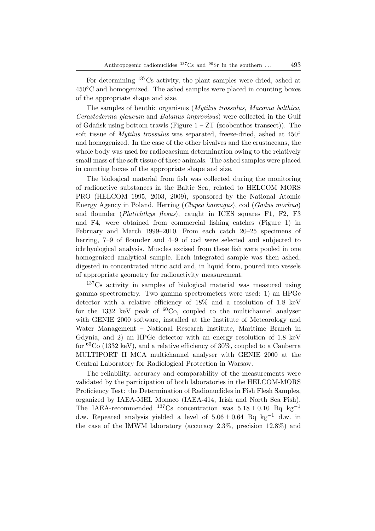For determining <sup>137</sup>Cs activity, the plant samples were dried, ashed at  $450^{\circ}$ C and homogenized. The ashed samples were placed in counting boxes of the appropriate shape and size.

The samples of benthic organisms (*Mytilus trossulus*, *Macoma balthica*, *Cerastoderma glaucum* and *Balanus improvisus*) were collected in the Gulf of Gdańsk using bottom trawls (Figure  $1 - ZT$  (zoobenthos transect)). The soft tissue of *Mytilus trossulus* was separated, freeze-dried, ashed at  $450^{\circ}$ and homogenized. In the case of the other bivalves and the crustaceans, the whole body was used for radiocaesium determination owing to the relatively small mass of the soft tissue of these animals. The ashed samples were placed in counting boxes of the appropriate shape and size.

The biological material from fish was collected during the monitoring of radioactive substances in the Baltic Sea, related to HELCOM MORS PRO (HELCOM 1995, 2003, 2009), sponsored by the National Atomic Energy Agency in Poland. Herring (*Clupea harengus*), cod (*Gadus morhua*) and flounder (*Platichthys flesus*), caught in ICES squares F1, F2, F3 and F4, were obtained from commercial fishing catches (Figure 1) in February and March 1999–2010. From each catch 20–25 specimens of herring, 7–9 of flounder and 4–9 of cod were selected and subjected to ichthyological analysis. Muscles excised from these fish were pooled in one homogenized analytical sample. Each integrated sample was then ashed, digested in concentrated nitric acid and, in liquid form, poured into vessels of appropriate geometry for radioactivity measurement.

<sup>137</sup>Cs activity in samples of biological material was measured using gamma spectrometry. Two gamma spectrometers were used: 1) an HPGe detector with a relative efficiency of 18% and a resolution of 1.8 keV for the 1332 keV peak of  ${}^{60}Co$ , coupled to the multichannel analyser with GENIE 2000 software, installed at the Institute of Meteorology and Water Management – National Research Institute, Maritime Branch in Gdynia, and 2) an HPGe detector with an energy resolution of 1.8 keV for  ${}^{60}Co$  (1332 keV), and a relative efficiency of 30%, coupled to a Canberra MULTIPORT II MCA multichannel analyser with GENIE 2000 at the Central Laboratory for Radiological Protection in Warsaw.

The reliability, accuracy and comparability of the measurements were validated by the participation of both laboratories in the HELCOM-MORS Proficiency Test: the Determination of Radionuclides in Fish Flesh Samples, organized by IAEA-MEL Monaco (IAEA-414, Irish and North Sea Fish). The IAEA-recommended <sup>137</sup>Cs concentration was  $5.18 \pm 0.10$  Bq kg<sup>-1</sup> d.w. Repeated analysis yielded a level of  $5.06 \pm 0.64$  Bq kg<sup>-1</sup> d.w. in the case of the IMWM laboratory (accuracy 2.3%, precision 12.8%) and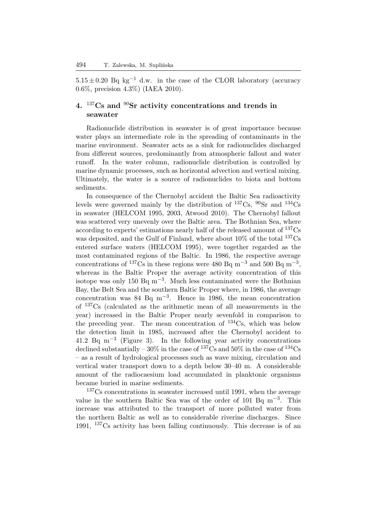$5.15 \pm 0.20$  Bq kg<sup>-1</sup> d.w. in the case of the CLOR laboratory (accuracy 0.6%, precision 4.3%) (IAEA 2010).

# **4.** <sup>137</sup>**Cs and** <sup>90</sup>**Sr activity concentrations and trends in seawater**

Radionuclide distribution in seawater is of great importance because water plays an intermediate role in the spreading of contaminants in the marine environment. Seawater acts as a sink for radionuclides discharged from different sources, predominantly from atmospheric fallout and water runoff. In the water column, radionuclide distribution is controlled by marine dynamic processes, such as horizontal advection and vertical mixing. Ultimately, the water is a source of radionuclides to biota and bottom sediments.

In consequence of the Chernobyl accident the Baltic Sea radioactivity levels were governed mainly by the distribution of  $^{137}Cs$ ,  $^{90}Sr$  and  $^{134}Cs$ in seawater (HELCOM 1995, 2003, Atwood 2010). The Chernobyl fallout was scattered very unevenly over the Baltic area. The Bothnian Sea, where according to experts' estimations nearly half of the released amount of <sup>137</sup>Cs was deposited, and the Gulf of Finland, where about  $10\%$  of the total  $137Cs$ entered surface waters (HELCOM 1995), were together regarded as the most contaminated regions of the Baltic. In 1986, the respective average concentrations of <sup>137</sup>Cs in these regions were 480 Bq m<sup>-3</sup> and 500 Bq m<sup>-3</sup>, whereas in the Baltic Proper the average activity concentration of this isotope was only 150 Bq  $m^{-3}$ . Much less contaminated were the Bothnian Bay, the Belt Sea and the southern Baltic Proper where, in 1986, the average concentration was 84 Bq m−<sup>3</sup> . Hence in 1986, the mean concentration of <sup>137</sup>Cs (calculated as the arithmetic mean of all measurements in the year) increased in the Baltic Proper nearly sevenfold in comparison to the preceding year. The mean concentration of  $^{134}Cs$ , which was below the detection limit in 1985, increased after the Chernobyl accident to 41.2 Bq m−<sup>3</sup> (Figure 3). In the following year activity concentrations declined substantially –  $30\%$  in the case of  $137Cs$  and  $50\%$  in the case of  $134Cs$ – as a result of hydrological processes such as wave mixing, circulation and vertical water transport down to a depth below 30–40 m. A considerable amount of the radiocaesium load accumulated in planktonic organisms became buried in marine sediments.

<sup>137</sup>Cs concentrations in seawater increased until 1991, when the average value in the southern Baltic Sea was of the order of 101 Bq m−<sup>3</sup> . This increase was attributed to the transport of more polluted water from the northern Baltic as well as to considerable riverine discharges. Since 1991, <sup>137</sup>Cs activity has been falling continuously. This decrease is of an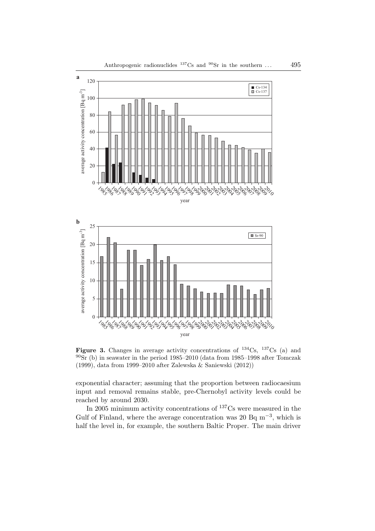



**Figure 3.** Changes in average activity concentrations of  $^{134}$ Cs,  $^{137}$ Cs (a) and  $90\text{Sr}$  (b) in seawater in the period 1985–2010 (data from 1985–1998 after Tomczak (1999), data from 1999–2010 after Zalewska & Saniewski (2012))

exponential character; assuming that the proportion between radiocaesium input and removal remains stable, pre-Chernobyl activity levels could be reached by around 2030.

In 2005 minimum activity concentrations of <sup>137</sup>Cs were measured in the Gulf of Finland, where the average concentration was 20 Bq  $m^{-3}$ , which is half the level in, for example, the southern Baltic Proper. The main driver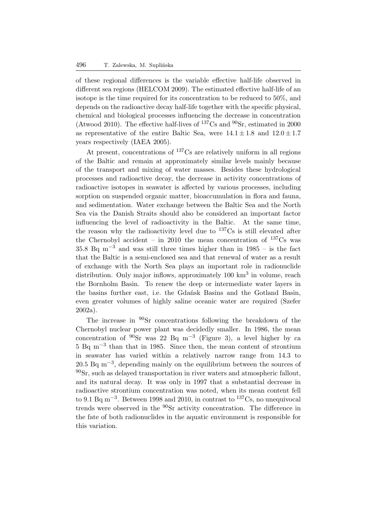of these regional differences is the variable effective half-life observed in different sea regions (HELCOM 2009). The estimated effective half-life of an isotope is the time required for its concentration to be reduced to 50%, and depends on the radioactive decay half-life together with the specific physical, chemical and biological processes influencing the decrease in concentration (Atwood 2010). The effective half-lives of  $^{137}Cs$  and  $^{90}Sr$ , estimated in 2000 as representative of the entire Baltic Sea, were  $14.1 \pm 1.8$  and  $12.0 \pm 1.7$ years respectively (IAEA 2005).

At present, concentrations of <sup>137</sup>Cs are relatively uniform in all regions of the Baltic and remain at approximately similar levels mainly because of the transport and mixing of water masses. Besides these hydrological processes and radioactive decay, the decrease in activity concentrations of radioactive isotopes in seawater is affected by various processes, including sorption on suspended organic matter, bioaccumulation in flora and fauna, and sedimentation. Water exchange between the Baltic Sea and the North Sea via the Danish Straits should also be considered an important factor influencing the level of radioactivity in the Baltic. At the same time, the reason why the radioactivity level due to  $137\text{Cs}$  is still elevated after the Chernobyl accident – in 2010 the mean concentration of  $137\text{Cs}$  was 35.8 Bq m<sup>-3</sup> and was still three times higher than in 1985 – is the fact that the Baltic is a semi-enclosed sea and that renewal of water as a result of exchange with the North Sea plays an important role in radionuclide distribution. Only major inflows, approximately 100 km<sup>3</sup> in volume, reach the Bornholm Basin. To renew the deep or intermediate water layers in the basins further east, i.e. the Gdańsk Basins and the Gotland Basin, even greater volumes of highly saline oceanic water are required (Szefer 2002a).

The increase in <sup>90</sup>Sr concentrations following the breakdown of the Chernobyl nuclear power plant was decidedly smaller. In 1986, the mean concentration of  $\rm{^{90}Sr}$  was 22 Bq m<sup>-3</sup> (Figure 3), a level higher by ca 5 Bq m−<sup>3</sup> than that in 1985. Since then, the mean content of strontium in seawater has varied within a relatively narrow range from 14.3 to 20.5 Bq m<sup>-3</sup>, depending mainly on the equilibrium between the sources of  $90$ Sr, such as delayed transportation in river waters and atmospheric fallout, and its natural decay. It was only in 1997 that a substantial decrease in radioactive strontium concentration was noted, when its mean content fell to 9.1 Bq m<sup>-3</sup>. Between 1998 and 2010, in contrast to <sup>137</sup>Cs, no unequivocal trends were observed in the <sup>90</sup>Sr activity concentration. The difference in the fate of both radionuclides in the aquatic environment is responsible for this variation.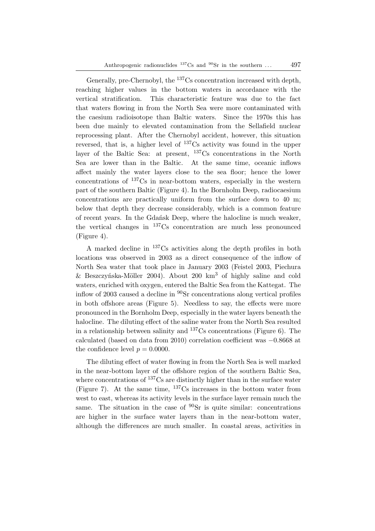Generally, pre-Chernobyl, the <sup>137</sup>Cs concentration increased with depth, reaching higher values in the bottom waters in accordance with the vertical stratification. This characteristic feature was due to the fact that waters flowing in from the North Sea were more contaminated with the caesium radioisotope than Baltic waters. Since the 1970s this has been due mainly to elevated contamination from the Sellafield nuclear reprocessing plant. After the Chernobyl accident, however, this situation reversed, that is, a higher level of  $137Cs$  activity was found in the upper layer of the Baltic Sea: at present, <sup>137</sup>Cs concentrations in the North Sea are lower than in the Baltic. At the same time, oceanic inflows affect mainly the water layers close to the sea floor; hence the lower concentrations of <sup>137</sup>Cs in near-bottom waters, especially in the western part of the southern Baltic (Figure 4). In the Bornholm Deep, radiocaesium concentrations are practically uniform from the surface down to 40 m; below that depth they decrease considerably, which is a common feature of recent years. In the Gdańsk Deep, where the halocline is much weaker, the vertical changes in  $137Cs$  concentration are much less pronounced (Figure 4).

A marked decline in <sup>137</sup>Cs activities along the depth profiles in both locations was observed in 2003 as a direct consequence of the inflow of North Sea water that took place in January 2003 (Feistel 2003, Piechura & Beszczyńska-Möller 2004). About 200  $km^3$  of highly saline and cold waters, enriched with oxygen, entered the Baltic Sea from the Kattegat. The inflow of 2003 caused a decline in <sup>90</sup>Sr concentrations along vertical profiles in both offshore areas (Figure 5). Needless to say, the effects were more pronounced in the Bornholm Deep, especially in the water layers beneath the halocline. The diluting effect of the saline water from the North Sea resulted in a relationship between salinity and  $137Cs$  concentrations (Figure 6). The calculated (based on data from 2010) correlation coefficient was −0.8668 at the confidence level  $p = 0.0000$ .

The diluting effect of water flowing in from the North Sea is well marked in the near-bottom layer of the offshore region of the southern Baltic Sea, where concentrations of  $137\text{Cs}$  are distinctly higher than in the surface water (Figure 7). At the same time,  $137Cs$  increases in the bottom water from west to east, whereas its activity levels in the surface layer remain much the same. The situation in the case of  $90\text{Sr}$  is quite similar: concentrations are higher in the surface water layers than in the near-bottom water, although the differences are much smaller. In coastal areas, activities in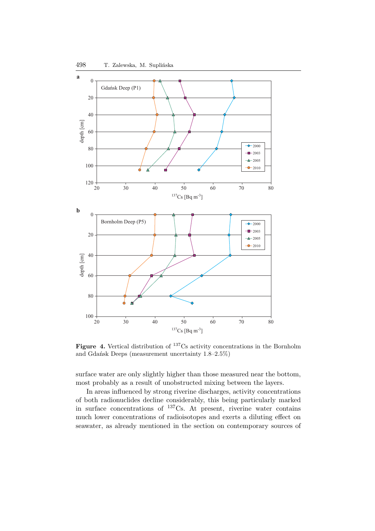

**Figure 4.** Vertical distribution of <sup>137</sup>Cs activity concentrations in the Bornholm and Gdańsk Deeps (measurement uncertainty 1.8–2.5%)

surface water are only slightly higher than those measured near the bottom, most probably as a result of unobstructed mixing between the layers.

In areas influenced by strong riverine discharges, activity concentrations of both radionuclides decline considerably, this being particularly marked in surface concentrations of  $^{137}$ Cs. At present, riverine water contains much lower concentrations of radioisotopes and exerts a diluting effect on seawater, as already mentioned in the section on contemporary sources of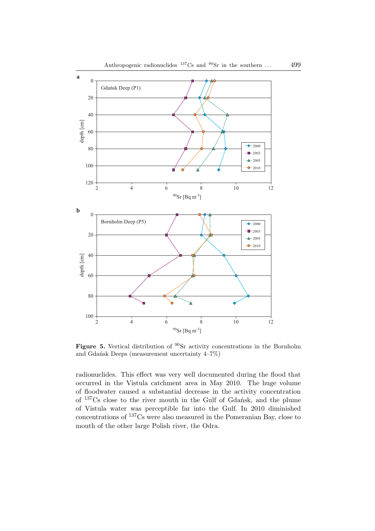

**Figure 5.** Vertical distribution of <sup>90</sup>Sr activity concentrations in the Bornholm and Gdańsk Deeps (measurement uncertainty 4–7%)

radionuclides. This effect was very well documented during the flood that occurred in the Vistula catchment area in May 2010. The huge volume of floodwater caused a substantial decrease in the activity concentration of <sup>137</sup>Cs close to the river mouth in the Gulf of Gdańsk, and the plume of Vistula water was perceptible far into the Gulf. In 2010 diminished concentrations of <sup>137</sup>Cs were also measured in the Pomeranian Bay, close to mouth of the other large Polish river, the Odra.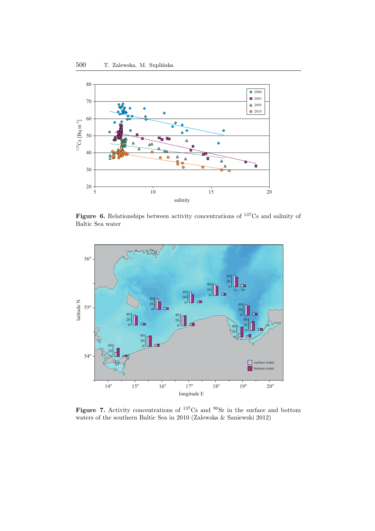

Figure 6. Relationships between activity concentrations of <sup>137</sup>Cs and salinity of Baltic Sea water



Figure 7. Activity concentrations of <sup>137</sup>Cs and <sup>90</sup>Sr in the surface and bottom waters of the southern Baltic Sea in 2010 (Zalewska & Saniewski 2012)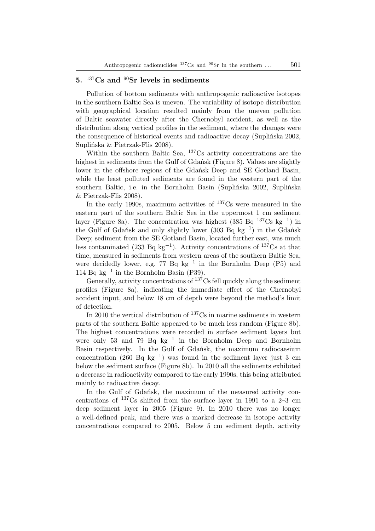## **5.** <sup>137</sup>**Cs and** <sup>90</sup>**Sr levels in sediments**

Pollution of bottom sediments with anthropogenic radioactive isotopes in the southern Baltic Sea is uneven. The variability of isotope distribution with geographical location resulted mainly from the uneven pollution of Baltic seawater directly after the Chernobyl accident, as well as the distribution along vertical profiles in the sediment, where the changes were the consequence of historical events and radioactive decay (Suplińska 2002, Suplińska & Pietrzak-Flis 2008).

Within the southern Baltic Sea, <sup>137</sup>Cs activity concentrations are the highest in sediments from the Gulf of Gdańsk (Figure 8). Values are slightly lower in the offshore regions of the Gdańsk Deep and SE Gotland Basin, while the least polluted sediments are found in the western part of the southern Baltic, i.e. in the Bornholm Basin (Suplińska 2002, Suplińska & Pietrzak-Flis 2008).

In the early 1990s, maximum activities of  $137Cs$  were measured in the eastern part of the southern Baltic Sea in the uppermost 1 cm sediment layer (Figure 8a). The concentration was highest  $(385 Bq^{137}Cs kg^{-1})$  in the Gulf of Gdańsk and only slightly lower (303 Bq kg−<sup>1</sup> ) in the Gdańsk Deep; sediment from the SE Gotland Basin, located further east, was much less contaminated (233 Bq kg<sup>-1</sup>). Activity concentrations of <sup>137</sup>Cs at that time, measured in sediments from western areas of the southern Baltic Sea, were decidedly lower, e.g. 77 Bq kg−<sup>1</sup> in the Bornholm Deep (P5) and 114 Bq kg−<sup>1</sup> in the Bornholm Basin (P39).

Generally, activity concentrations of  $137Cs$  fell quickly along the sediment profiles (Figure 8a), indicating the immediate effect of the Chernobyl accident input, and below 18 cm of depth were beyond the method's limit of detection.

In 2010 the vertical distribution of  $137\text{Cs}$  in marine sediments in western parts of the southern Baltic appeared to be much less random (Figure 8b). The highest concentrations were recorded in surface sediment layers but were only 53 and 79 Bq kg<sup>-1</sup> in the Bornholm Deep and Bornholm Basin respectively. In the Gulf of Gdańsk, the maximum radiocaesium concentration (260 Bq kg<sup>-1</sup>) was found in the sediment layer just 3 cm below the sediment surface (Figure 8b). In 2010 all the sediments exhibited a decrease in radioactivity compared to the early 1990s, this being attributed mainly to radioactive decay.

In the Gulf of Gdańsk, the maximum of the measured activity concentrations of  $137Cs$  shifted from the surface layer in 1991 to a 2–3 cm deep sediment layer in 2005 (Figure 9). In 2010 there was no longer a well-defined peak, and there was a marked decrease in isotope activity concentrations compared to 2005. Below 5 cm sediment depth, activity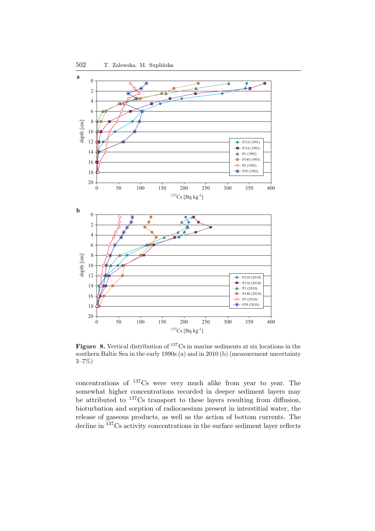

**Figure 8.** Vertical distribution of <sup>137</sup>Cs in marine sediments at six locations in the southern Baltic Sea in the early 1990s (a) and in 2010 (b) (measurement uncertainty 3–7%)

concentrations of <sup>137</sup>Cs were very much alike from year to year. The somewhat higher concentrations recorded in deeper sediment layers may be attributed to <sup>137</sup>Cs transport to these layers resulting from diffusion, bioturbation and sorption of radiocaesium present in interstitial water, the release of gaseous products, as well as the action of bottom currents. The decline in <sup>137</sup>Cs activity concentrations in the surface sediment layer reflects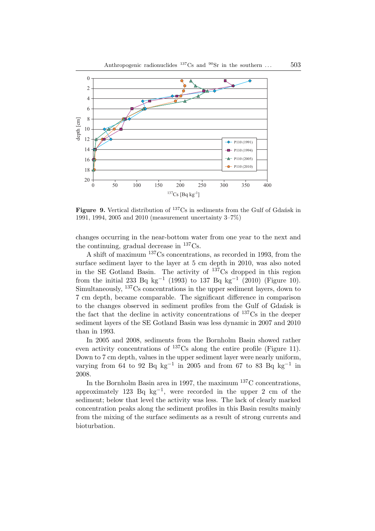

**Figure 9.** Vertical distribution of <sup>137</sup>Cs in sediments from the Gulf of Gdańsk in 1991, 1994, 2005 and 2010 (measurement uncertainty 3–7%)

changes occurring in the near-bottom water from one year to the next and the continuing, gradual decrease in  ${}^{137}Cs$ .

A shift of maximum <sup>137</sup>Cs concentrations, as recorded in 1993, from the surface sediment layer to the layer at 5 cm depth in 2010, was also noted in the SE Gotland Basin. The activity of  $137Cs$  dropped in this region from the initial 233 Bq kg<sup>-1</sup> (1993) to 137 Bq kg<sup>-1</sup> (2010) (Figure 10). Simultaneously, <sup>137</sup>Cs concentrations in the upper sediment layers, down to 7 cm depth, became comparable. The significant difference in comparison to the changes observed in sediment profiles from the Gulf of Gdańsk is the fact that the decline in activity concentrations of <sup>137</sup>Cs in the deeper sediment layers of the SE Gotland Basin was less dynamic in 2007 and 2010 than in 1993.

In 2005 and 2008, sediments from the Bornholm Basin showed rather even activity concentrations of  $^{137}Cs$  along the entire profile (Figure 11). Down to 7 cm depth, values in the upper sediment layer were nearly uniform. varying from 64 to 92 Bq kg<sup>-1</sup> in 2005 and from 67 to 83 Bq kg<sup>-1</sup> in 2008.

In the Bornholm Basin area in 1997, the maximum  $^{137}$ C concentrations, approximately 123 Bq  $kg^{-1}$ , were recorded in the upper 2 cm of the sediment; below that level the activity was less. The lack of clearly marked concentration peaks along the sediment profiles in this Basin results mainly from the mixing of the surface sediments as a result of strong currents and bioturbation.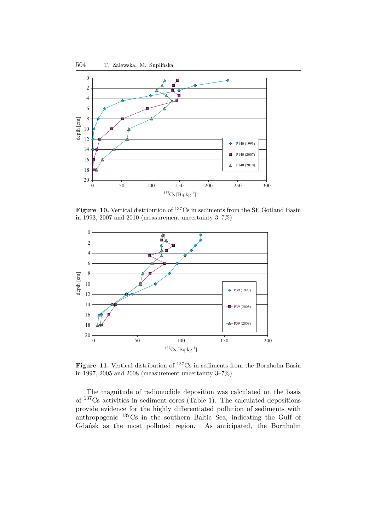

**Figure 10.** Vertical distribution of <sup>137</sup>Cs in sediments from the SE Gotland Basin in 1993, 2007 and 2010 (measurement uncertainty 3–7%)



Figure 11. Vertical distribution of <sup>137</sup>Cs in sediments from the Bornholm Basin in 1997, 2005 and 2008 (measurement uncertainty 3–7%)

The magnitude of radionuclide deposition was calculated on the basis of <sup>137</sup>Cs activities in sediment cores (Table 1). The calculated depositions provide evidence for the highly differentiated pollution of sediments with anthropogenic <sup>137</sup>Cs in the southern Baltic Sea, indicating the Gulf of Gdańsk as the most polluted region. As anticipated, the Bornholm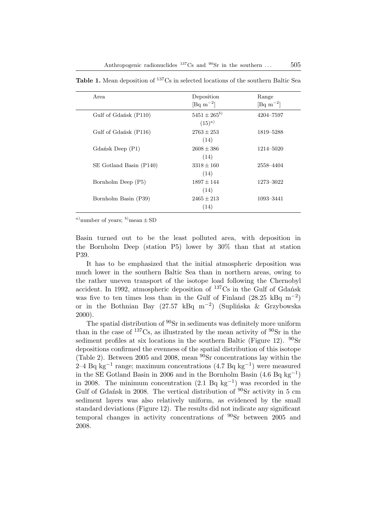| Area                    | Deposition<br>[Bq m <sup>-2</sup> ] | Range<br>$\lbrack \text{Bq m}^{-2} \rbrack$ |
|-------------------------|-------------------------------------|---------------------------------------------|
| Gulf of Gdańsk (P110)   | $5451 \pm 265^{b}$<br>$(15)^{a}$    | 4204-7597                                   |
| Gulf of Gdańsk (P116)   | $2763 \pm 253$<br>(14)              | 1819–5288                                   |
| Gdańsk Deep (P1)        | $2608 \pm 386$<br>(14)              | 1214-5020                                   |
| SE Gotland Basin (P140) | $3318 + 160$<br>(14)                | 2558-4404                                   |
| Bornholm Deep (P5)      | $1897 + 144$<br>(14)                | 1273–3022                                   |
| Bornholm Basin (P39)    | $2465 \pm 213$<br>(14)              | 1093-3441                                   |

Table 1. Mean deposition of <sup>137</sup>Cs in selected locations of the southern Baltic Sea

<sup>a)</sup>number of years; <sup>b)</sup>mean  $\pm$  SD

Basin turned out to be the least polluted area, with deposition in the Bornholm Deep (station P5) lower by 30% than that at station P39.

It has to be emphasized that the initial atmospheric deposition was much lower in the southern Baltic Sea than in northern areas, owing to the rather uneven transport of the isotope load following the Chernobyl accident. In 1992, atmospheric deposition of <sup>137</sup>Cs in the Gulf of Gdańsk was five to ten times less than in the Gulf of Finland (28.25 kBq m<sup>-2</sup>) or in the Bothnian Bay (27.57 kBq m−<sup>2</sup> ) (Suplińska & Grzybowska 2000).

The spatial distribution of <sup>90</sup>Sr in sediments was definitely more uniform than in the case of  $137Cs$ , as illustrated by the mean activity of  $90Sr$  in the sediment profiles at six locations in the southern Baltic (Figure 12).  $^{90}Sr$ depositions confirmed the evenness of the spatial distribution of this isotope (Table 2). Between 2005 and 2008, mean  $90Sr$  concentrations lay within the 2–4 Bq kg−<sup>1</sup> range; maximum concentrations (4.7 Bq kg−<sup>1</sup> ) were measured in the SE Gotland Basin in 2006 and in the Bornholm Basin  $(4.6 \text{ Bq kg}^{-1})$ in 2008. The minimum concentration (2.1 Bq kg−<sup>1</sup> ) was recorded in the Gulf of Gdańsk in 2008. The vertical distribution of  $90\text{Sr}$  activity in 5 cm sediment layers was also relatively uniform, as evidenced by the small standard deviations (Figure 12). The results did not indicate any significant temporal changes in activity concentrations of <sup>90</sup>Sr between 2005 and 2008.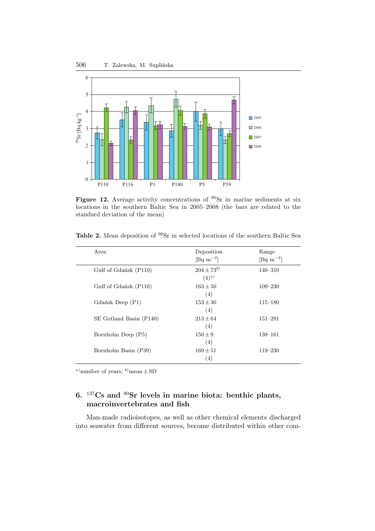

Figure 12. Average activity concentrations of <sup>90</sup>Sr in marine sediments at six locations in the southern Baltic Sea in 2005–2008 (the bars are related to the standard deviation of the mean)

| Area                    | Deposition<br>[Bq m <sup><math>-2</math>]</sup> ] | Range<br>$[\text{Bq m}^{-2}]$ |
|-------------------------|---------------------------------------------------|-------------------------------|
| Gulf of Gdańsk (P110)   | $204 \pm 73^{b}$<br>$(4)^{a}$                     | $140 - 310$                   |
| Gulf of Gdańsk (P116)   | $163 \pm 50$<br>(4)                               | $109 - 230$                   |
| Gdańsk Deep (P1)        | $153 \pm 30$<br>(4)                               | $115 - 180$                   |
| SE Gotland Basin (P140) | $213 \pm 64$<br>(4)                               | $151 - 291$                   |
| Bornholm Deep (P5)      | $150 \pm 9$<br>(4)                                | $138 - 161$                   |
| Bornholm Basin (P39)    | $169 \pm 51$<br>(4)                               | $119 - 230$                   |

<sup>a)</sup>number of years; <sup>b)</sup>mean  $\pm$  SD

# **6.** <sup>137</sup>**Cs and** <sup>90</sup>**Sr levels in marine biota: benthic plants, macroinvertebrates and fish**

Man-made radioisotopes, as well as other chemical elements discharged into seawater from different sources, become distributed within other com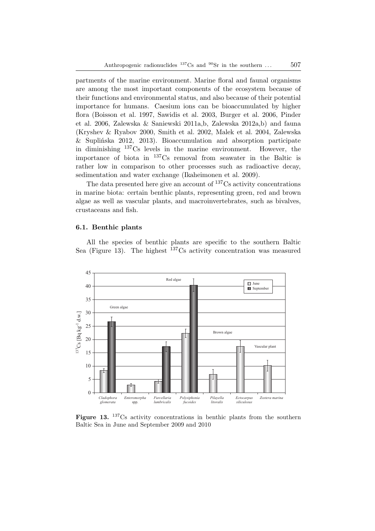partments of the marine environment. Marine floral and faunal organisms are among the most important components of the ecosystem because of their functions and environmental status, and also because of their potential importance for humans. Caesium ions can be bioaccumulated by higher flora (Boisson et al. 1997, Sawidis et al. 2003, Burger et al. 2006, Pinder et al. 2006, Zalewska & Saniewski 2011a,b, Zalewska 2012a,b) and fauna (Kryshev & Ryabov 2000, Smith et al. 2002, Malek et al. 2004, Zalewska & Suplińska 2012, 2013). Bioaccumulation and absorption participate in diminishing <sup>137</sup>Cs levels in the marine environment. However, the importance of biota in <sup>137</sup>Cs removal from seawater in the Baltic is rather low in comparison to other processes such as radioactive decay, sedimentation and water exchange (Ikaheimonen et al. 2009).

The data presented here give an account of <sup>137</sup>Cs activity concentrations in marine biota: certain benthic plants, representing green, red and brown algae as well as vascular plants, and macroinvertebrates, such as bivalves, crustaceans and fish.

#### **6.1. Benthic plants**

All the species of benthic plants are specific to the southern Baltic Sea (Figure 13). The highest  $137Cs$  activity concentration was measured



Figure 13. <sup>137</sup>Cs activity concentrations in benthic plants from the southern Baltic Sea in June and September 2009 and 2010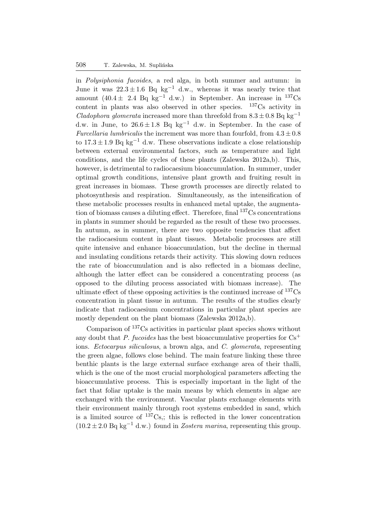#### 508 T. Zalewska, M. Suplińska

in *Polysiphonia fucoides*, a red alga, in both summer and autumn: in June it was  $22.3 \pm 1.6$  Bq kg<sup>-1</sup> d.w., whereas it was nearly twice that amount  $(40.4 \pm 2.4$  Bq kg<sup>-1</sup> d.w.) in September. An increase in <sup>137</sup>Cs content in plants was also observed in other species.  $137Cs$  activity in *Cladophora glomerata* increased more than threefold from  $8.3 \pm 0.8$  Bq kg<sup>-1</sup> d.w. in June, to  $26.6 \pm 1.8$  Bq kg<sup>-1</sup> d.w. in September. In the case of *Furcellaria lumbricalis* the increment was more than fourfold, from  $4.3 \pm 0.8$ to  $17.3 \pm 1.9$  Bq kg<sup>-1</sup> d.w. These observations indicate a close relationship between external environmental factors, such as temperature and light conditions, and the life cycles of these plants (Zalewska 2012a,b). This, however, is detrimental to radiocaesium bioaccumulation. In summer, under optimal growth conditions, intensive plant growth and fruiting result in great increases in biomass. These growth processes are directly related to photosynthesis and respiration. Simultaneously, as the intensification of these metabolic processes results in enhanced metal uptake, the augmentation of biomass causes a diluting effect. Therefore, final  $137Cs$  concentrations in plants in summer should be regarded as the result of these two processes. In autumn, as in summer, there are two opposite tendencies that affect the radiocaesium content in plant tissues. Metabolic processes are still quite intensive and enhance bioaccumulation, but the decline in thermal and insulating conditions retards their activity. This slowing down reduces the rate of bioaccumulation and is also reflected in a biomass decline, although the latter effect can be considered a concentrating process (as opposed to the diluting process associated with biomass increase). The ultimate effect of these opposing activities is the continued increase of <sup>137</sup>Cs concentration in plant tissue in autumn. The results of the studies clearly indicate that radiocaesium concentrations in particular plant species are mostly dependent on the plant biomass (Zalewska 2012a,b).

Comparison of <sup>137</sup>Cs activities in particular plant species shows without any doubt that *P. fucoides* has the best bioaccumulative properties for  $Cs<sup>+</sup>$ ions. *Ectocarpus siliculosus*, a brown alga, and *C. glomerata*, representing the green algae, follows close behind. The main feature linking these three benthic plants is the large external surface exchange area of their thalli, which is the one of the most crucial morphological parameters affecting the bioaccumulative process. This is especially important in the light of the fact that foliar uptake is the main means by which elements in algae are exchanged with the environment. Vascular plants exchange elements with their environment mainly through root systems embedded in sand, which is a limited source of  $^{137}Cs$ ; this is reflected in the lower concentration  $(10.2 \pm 2.0 \text{ Bq kg}^{-1} \text{d.w.})$  found in *Zostera marina*, representing this group.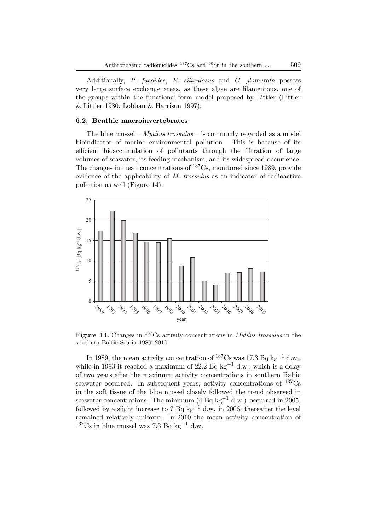Additionally, *P. fucoides*, *E. siliculosus* and *C. glomerata* possess very large surface exchange areas, as these algae are filamentous, one of the groups within the functional-form model proposed by Littler (Littler & Littler 1980, Lobban & Harrison 1997).

## **6.2. Benthic macroinvertebrates**

The blue mussel – *Mytilus trossulus* – is commonly regarded as a model bioindicator of marine environmental pollution. This is because of its efficient bioaccumulation of pollutants through the filtration of large volumes of seawater, its feeding mechanism, and its widespread occurrence. The changes in mean concentrations of <sup>137</sup>Cs, monitored since 1989, provide evidence of the applicability of *M. trossulus* as an indicator of radioactive pollution as well (Figure 14).



**Figure 14.** Changes in <sup>137</sup>Cs activity concentrations in *Mytilus trossulus* in the southern Baltic Sea in 1989–2010

In 1989, the mean activity concentration of  $^{137}Cs$  was 17.3 Bq kg<sup>-1</sup> d.w., while in 1993 it reached a maximum of 22.2 Bq kg<sup>-1</sup> d.w., which is a delay of two years after the maximum activity concentrations in southern Baltic seawater occurred. In subsequent years, activity concentrations of  $^{137}Cs$ in the soft tissue of the blue mussel closely followed the trend observed in seawater concentrations. The minimum  $(4 \text{ Bq kg}^{-1} \text{ d.w.})$  occurred in 2005, followed by a slight increase to 7 Bq kg<sup>-1</sup> d.w. in 2006; thereafter the level remained relatively uniform. In 2010 the mean activity concentration of  $137C$ s in blue mussel was 7.3 Bq kg<sup>-1</sup> d.w.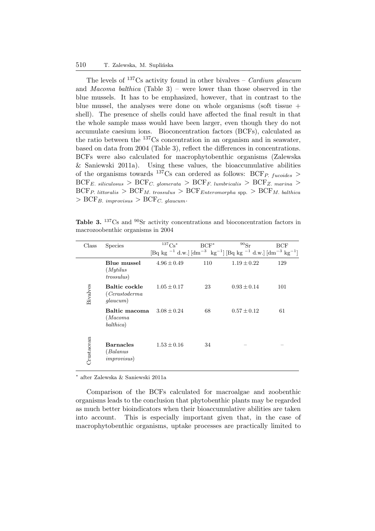The levels of <sup>137</sup>Cs activity found in other bivalves – *Cardium glaucum* and *Macoma balthica* (Table 3) – were lower than those observed in the blue mussels. It has to be emphasized, however, that in contrast to the blue mussel, the analyses were done on whole organisms (soft tissue  $+$ shell). The presence of shells could have affected the final result in that the whole sample mass would have been larger, even though they do not accumulate caesium ions. Bioconcentration factors (BCFs), calculated as the ratio between the <sup>137</sup>Cs concentration in an organism and in seawater, based on data from 2004 (Table 3), reflect the differences in concentrations. BCFs were also calculated for macrophytobenthic organisms (Zalewska & Saniewski 2011a). Using these values, the bioaccumulative abilities of the organisms towards <sup>137</sup>Cs can ordered as follows: BCF<sub>P. fucoides</sub> >  $\text{BCF}_{E. \ siliculosus} > \text{BCF}_{C. \ qlomencla} > \text{BCF}_{F. \ lumbricalis} > \text{BCF}_{Z. \ marina} >$  $\text{BCF}_{P.~littoralis} > \text{BCF}_{M.~crossulus} > \text{BCF}_{Enteromorpha spp.} > \text{BCF}_{M.~balthica}$  $>$  BCF<sub>B</sub>. improvisus  $>$  BCF<sub>C. glaucum</sub>.

Table 3. <sup>137</sup>Cs and <sup>90</sup>Sr activity concentrations and bioconcentration factors in macrozoobenthic organisms in 2004

| Class      | <b>Species</b>                                      | ${}^{137}\mathrm{Cs}^\ast$ | $BCF^*$ | $^{90}Sr$                                                                                                                                                                           | BCF |
|------------|-----------------------------------------------------|----------------------------|---------|-------------------------------------------------------------------------------------------------------------------------------------------------------------------------------------|-----|
|            |                                                     |                            |         | $\left[\text{Bq kg }^{-1} \text{ d.w.}\right] \left[\text{dm}^{-3} \text{ kg}^{-1}\right] \left[\text{Bq kg }^{-1} \text{ d.w.}\right] \left[\text{dm}^{-3} \text{ kg}^{-1}\right]$ |     |
|            | Blue mussel<br>(Mytilus)<br><i>trossulus</i> )      | $4.96 \pm 0.49$            | 110     | $1.19 \pm 0.22$                                                                                                                                                                     | 129 |
| Bivalves   | <b>Baltic cockle</b><br>(Cerastoderma)<br>glaucum)  | $1.05 \pm 0.17$            | 23      | $0.93 \pm 0.14$                                                                                                                                                                     | 101 |
|            | Baltic macoma<br>(Macoma<br>balthica)               | $3.08 \pm 0.24$            | 68      | $0.57 \pm 0.12$                                                                                                                                                                     | 61  |
| Crustacean | <b>Barnacles</b><br>(Balamus<br><i>improvisus</i> ) | $1.53 \pm 0.16$            | 34      |                                                                                                                                                                                     |     |

∗ after Zalewska & Saniewski 2011a

Comparison of the BCFs calculated for macroalgae and zoobenthic organisms leads to the conclusion that phytobenthic plants may be regarded as much better bioindicators when their bioaccumulative abilities are taken into account. This is especially important given that, in the case of macrophytobenthic organisms, uptake processes are practically limited to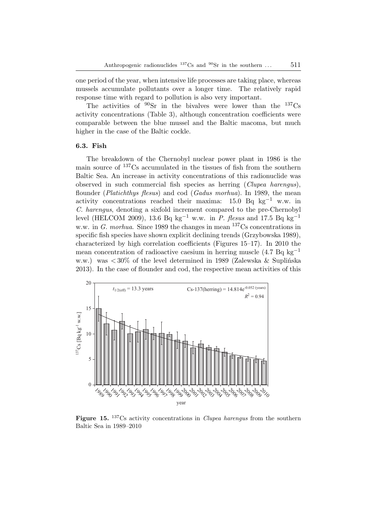one period of the year, when intensive life processes are taking place, whereas mussels accumulate pollutants over a longer time. The relatively rapid response time with regard to pollution is also very important.

The activities of  $90\text{Sr}$  in the bivalves were lower than the  $137\text{Cs}$ activity concentrations (Table 3), although concentration coefficients were comparable between the blue mussel and the Baltic macoma, but much higher in the case of the Baltic cockle.

## **6.3. Fish**

The breakdown of the Chernobyl nuclear power plant in 1986 is the main source of <sup>137</sup>Cs accumulated in the tissues of fish from the southern Baltic Sea. An increase in activity concentrations of this radionuclide was observed in such commercial fish species as herring (*Clupea harengus*), flounder (*Platichthys flesus*) and cod (*Gadus morhua*). In 1989, the mean activity concentrations reached their maxima: 15.0 Bq kg−<sup>1</sup> w.w. in *C. harengus*, denoting a sixfold increment compared to the pre-Chernobyl level (HELCOM 2009), 13.6 Bq kg−<sup>1</sup> w.w. in *P. flesus* and 17.5 Bq kg−<sup>1</sup> w.w. in *G. morhua*. Since 1989 the changes in mean <sup>137</sup>Cs concentrations in specific fish species have shown explicit declining trends (Grzybowska 1989), characterized by high correlation coefficients (Figures 15–17). In 2010 the mean concentration of radioactive caesium in herring muscle  $(4.7 \text{ Bg kg}^{-1})$ w.w.) was < 30% of the level determined in 1989 (Zalewska & Suplińska 2013). In the case of flounder and cod, the respective mean activities of this



**Figure 15.** <sup>137</sup>Cs activity concentrations in *Clupea harengus* from the southern Baltic Sea in 1989–2010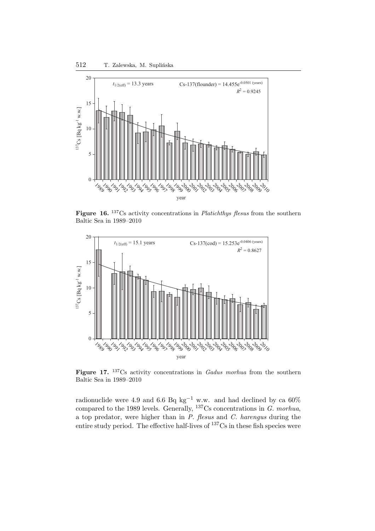

**Figure 16.** <sup>137</sup>Cs activity concentrations in *Platichthys flesus* from the southern Baltic Sea in 1989–2010



**Figure 17.** <sup>137</sup>Cs activity concentrations in *Gadus morhua* from the southern Baltic Sea in 1989–2010

radionuclide were 4.9 and 6.6 Bq kg<sup>-1</sup> w.w. and had declined by ca 60% compared to the 1989 levels. Generally, <sup>137</sup>Cs concentrations in *G. morhua*, a top predator, were higher than in *P. flesus* and *C. harengus* during the entire study period. The effective half-lives of <sup>137</sup>Cs in these fish species were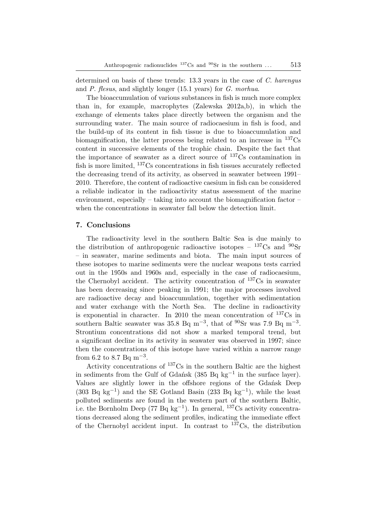determined on basis of these trends: 13.3 years in the case of *C. harengus* and *P. flesus*, and slightly longer (15.1 years) for *G. morhua*.

The bioaccumulation of various substances in fish is much more complex than in, for example, macrophytes (Zalewska 2012a,b), in which the exchange of elements takes place directly between the organism and the surrounding water. The main source of radiocaesium in fish is food, and the build-up of its content in fish tissue is due to bioaccumulation and biomagnification, the latter process being related to an increase in  $^{137}Cs$ content in successive elements of the trophic chain. Despite the fact that the importance of seawater as a direct source of  $137Cs$  contamination in fish is more limited, <sup>137</sup>Cs concentrations in fish tissues accurately reflected the decreasing trend of its activity, as observed in seawater between 1991– 2010. Therefore, the content of radioactive caesium in fish can be considered a reliable indicator in the radioactivity status assessment of the marine environment, especially – taking into account the biomagnification factor – when the concentrations in seawater fall below the detection limit.

## **7. Conclusions**

The radioactivity level in the southern Baltic Sea is due mainly to the distribution of anthropogenic radioactive isotopes –  $^{137}Cs$  and  $^{90}Sr$ – in seawater, marine sediments and biota. The main input sources of these isotopes to marine sediments were the nuclear weapons tests carried out in the 1950s and 1960s and, especially in the case of radiocaesium, the Chernobyl accident. The activity concentration of  $^{137}Cs$  in seawater has been decreasing since peaking in 1991; the major processes involved are radioactive decay and bioaccumulation, together with sedimentation and water exchange with the North Sea. The decline in radioactivity is exponential in character. In 2010 the mean concentration of  $137\text{Cs}$  in southern Baltic seawater was 35.8 Bq m<sup>-3</sup>, that of <sup>90</sup>Sr was 7.9 Bq m<sup>-3</sup>. Strontium concentrations did not show a marked temporal trend, but a significant decline in its activity in seawater was observed in 1997; since then the concentrations of this isotope have varied within a narrow range from 6.2 to 8.7 Bq  $\rm m^{-3}$ .

Activity concentrations of <sup>137</sup>Cs in the southern Baltic are the highest in sediments from the Gulf of Gdańsk (385 Bq kg−<sup>1</sup> in the surface layer). Values are slightly lower in the offshore regions of the Gdańsk Deep (303 Bq kg<sup>-1</sup>) and the SE Gotland Basin (233 Bq kg<sup>-1</sup>), while the least polluted sediments are found in the western part of the southern Baltic, i.e. the Bornholm Deep (77 Bq kg−<sup>1</sup> ). In general, <sup>137</sup>Cs activity concentrations decreased along the sediment profiles, indicating the immediate effect of the Chernobyl accident input. In contrast to  $137 \text{Cs}$ , the distribution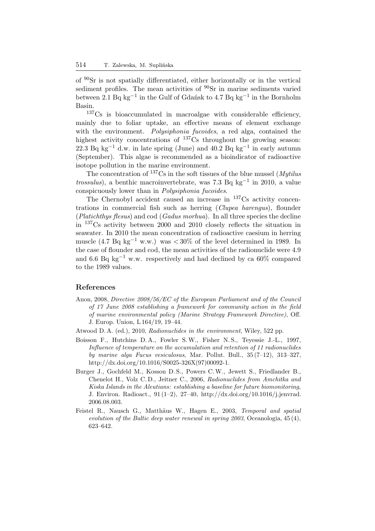of <sup>90</sup>Sr is not spatially differentiated, either horizontally or in the vertical sediment profiles. The mean activities of  $90Sr$  in marine sediments varied between 2.1 Bq kg−<sup>1</sup> in the Gulf of Gdańsk to 4.7 Bq kg−<sup>1</sup> in the Bornholm Basin.

<sup>137</sup>Cs is bioaccumulated in macroalgae with considerable efficiency, mainly due to foliar uptake, an effective means of element exchange with the environment. *Polysiphonia fucoides*, a red alga, contained the highest activity concentrations of  $^{137}Cs$  throughout the growing season: 22.3 Bq kg<sup>-1</sup> d.w. in late spring (June) and 40.2 Bq kg<sup>-1</sup> in early autumn (September). This algae is recommended as a bioindicator of radioactive isotope pollution in the marine environment.

The concentration of <sup>137</sup>Cs in the soft tissues of the blue mussel (*Mytilus trossulus*), a benthic macroinvertebrate, was 7.3 Bq kg−<sup>1</sup> in 2010, a value conspicuously lower than in *Polysiphonia fucoides*.

The Chernobyl accident caused an increase in <sup>137</sup>Cs activity concentrations in commercial fish such as herring (*Clupea harengus*), flounder (*Platichthys flesus*) and cod (*Gadus morhua*). In all three species the decline in <sup>137</sup>Cs activity between 2000 and 2010 closely reflects the situation in seawater. In 2010 the mean concentration of radioactive caesium in herring muscle (4.7 Bq kg<sup>-1</sup> w.w.) was  $\langle 30\%$  of the level determined in 1989. In the case of flounder and cod, the mean activities of the radionuclide were 4.9 and 6.6 Bq kg<sup>-1</sup> w.w. respectively and had declined by ca 60% compared to the 1989 values.

## **References**

Anon, 2008, *Directive 2008/56/EC of the European Parliament and of the Council of 17 June 2008 establishing a framework for community action in the field of marine environmental policy (Marine Strategy Framework Directive)*, Off. J. Europ. Union, L 164/19, 19–44.

Atwood D. A. (ed.), 2010, *Radionuclides in the environment*, Wiley, 522 pp.

- Boisson F., Hutchins D. A., Fowler S.W., Fisher N. S., Teyessie J.-L., 1997, *Influence of temperature on the accumulation and retention of 11 radionuclides by marine alga Fucus vesiculosus*, Mar. Pollut. Bull., 35 (7–12), 313–327, http://dx.doi.org/10.1016/S0025-326X(97)00092-1.
- Burger J., Gochfeld M., Kosson D. S., Powers C.W., Jewett S., Friedlander B., Chenelot H., Volz C. D., Jeitner C., 2006, *Radionuclides from Amchitka and Kiska Islands in the Aleutians: establishing a baseline for future biomonitoring*, J. Environ. Radioact.,  $91(1-2)$ ,  $27-40$ , http://dx.doi.org/10.1016/j.jenvrad. 2006.08.003.
- Feistel R., Nausch G., Matthäus W., Hagen E., 2003, *Temporal and spatial evolution of the Baltic deep water renewal in spring 2003*, Oceanologia, 45 (4), 623–642.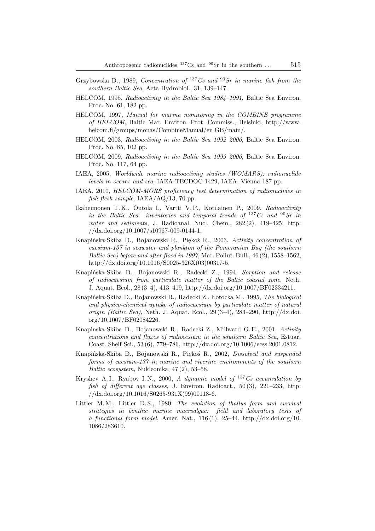- Grzybowska D., 1989, *Concentration of* <sup>137</sup>*Cs and* <sup>90</sup>*Sr in marine fish from the southern Baltic Sea*, Acta Hydrobiol., 31, 139–147.
- HELCOM, 1995, *Radioactivity in the Baltic Sea 1984–1991*, Baltic Sea Environ. Proc. No. 61, 182 pp.
- HELCOM, 1997, *Manual for marine monitoring in the COMBINE programme of HELCOM*, Baltic Mar. Environ. Prot. Commiss., Helsinki, http://www. helcom.fi/groups/monas/CombineManual/en GB/main/.
- HELCOM, 2003, *Radioactivity in the Baltic Sea 1992–2006*, Baltic Sea Environ. Proc. No. 85, 102 pp.
- HELCOM, 2009, *Radioactivity in the Baltic Sea 1999–2006*, Baltic Sea Environ. Proc. No. 117, 64 pp.
- IAEA, 2005, *Worldwide marine radioactivity studies (WOMARS): radionuclide levels in oceans and sea*, IAEA-TECDOC-1429, IAEA, Vienna 187 pp.
- IAEA, 2010, *HELCOM-MORS proficiency test determination of radionuclides in fish flesh sample*, IAEA/AQ/13, 70 pp.
- Ikaheimonen T. K., Outola I., Vartti V. P., Kotilainen P., 2009, *Radioactivity in the Baltic Sea: inventories and temporal trends of* <sup>137</sup>*Cs and* <sup>90</sup>*Sr in water and sediments*, J. Radioanal. Nucl. Chem., 282 (2), 419–425, http: //dx.doi.org/10.1007/s10967-009-0144-1.
- Knapińska-Skiba D., Bojanowski R., Piękoś R., 2003, *Activity concentration of caesium-137 in seawater and plankton of the Pomeranian Bay (the southern Baltic Sea) before and after flood in 1997*, Mar. Pollut. Bull., 46 (2), 1558–1562, http://dx.doi.org/10.1016/S0025-326X(03)00317-5.
- Knapińska-Skiba D., Bojanowski R., Radecki Z., 1994, *Sorption and release of radiocaesium from particulate matter of the Baltic coastal zone*, Neth. J. Aquat. Ecol., 28 (3–4), 413–419, http://dx.doi.org/10.1007/BF02334211.
- Knapińska-Skiba D., Bojanowski R., Radecki Z., Łotocka M., 1995, *The biological and physico-chemical uptake of radiocaesium by particulate matter of natural origin (Baltic Sea)*, Neth. J. Aquat. Ecol., 29 (3–4), 283–290, http://dx.doi. org/10.1007/BF02084226.
- Knapinska-Skiba D., Bojanowski R., Radecki Z., Millward G.E., 2001, *Activity concentrations and fluxes of radiocesium in the southern Baltic Sea*, Estuar. Coast. Shelf Sci., 53 (6), 779–786, http://dx.doi.org/10.1006/ecss.2001.0812.
- Knapińska-Skiba D., Bojanowski R., Piękoś R., 2002, *Dissolved and suspended forms of caesium-137 in marine and riverine environments of the southern Baltic ecosystem*, Nukleonika, 47 (2), 53–58.
- Kryshev A. I., Ryabov I. N., 2000, *A dynamic model of* <sup>137</sup>*Cs accumulation by fish of different age classes*, J. Environ. Radioact., 50 (3), 221–233, http:  $//dx.doi.org/10.1016/S0265-931X(99)00118-6.$
- Littler M. M., Littler D. S., 1980, *The evolution of thallus form and survival strategies in benthic marine macroalgae: field and laboratory tests of a functional form model*, Amer. Nat., 116 (1), 25–44, http://dx.doi.org/10. 1086/283610.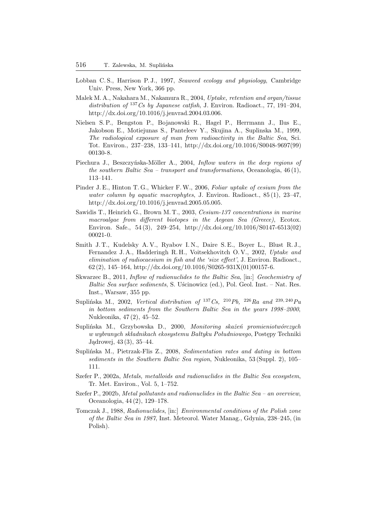- Lobban C. S., Harrison P. J., 1997, *Seaweed ecology and physiology*, Cambridge Univ. Press, New York, 366 pp.
- Malek M. A., Nakahara M., Nakamura R., 2004, *Uptake, retention and organ/tissue distribution of* <sup>137</sup>*Cs by Japanese catfish*, J. Environ. Radioact., 77, 191–204, http://dx.doi.org/10.1016/j.jenvrad.2004.03.006.
- Nielsen S. P., Bengston P., Bojanowski R., Hagel P., Herrmann J., Ilus E., Jakobson E., Motiejunas S., Panteleev Y., Skujina A., Suplinska M., 1999, *The radiological exposure of man from radioactivity in the Baltic Sea*, Sci. Tot. Environ., 237–238, 133–141, http://dx.doi.org/10.1016/S0048-9697(99) 00130-8.
- Piechura J., Beszczyńska-Möller A., 2004, *Inflow waters in the deep regions of the southern Baltic Sea – transport and transformations*, Oceanologia, 46 (1), 113–141.
- Pinder J. E., Hinton T. G., Whicker F.W., 2006, *Foliar uptake of cesium from the water column by aquatic macrophytes*, J. Environ. Radioact., 85 (1), 23–47, http://dx.doi.org/10.1016/j.jenvrad.2005.05.005.
- Sawidis T., Heinrich G., Brown M. T., 2003, *Cesium-137 concentrations in marine macroalgae from different biotopes in the Aegean Sea (Greece)*, Ecotox. Environ. Safe., 54 (3), 249–254, http://dx.doi.org/10.1016/S0147-6513(02) 00021-0.
- Smith J. T., Kudelsky A. V., Ryabov I. N., Daire S. E., Boyer L., Blust R. J., Fernandez J. A., Hadderingh R. H., Voitsekhovitch O. V., 2002, *Uptake and elimination of radiocaesium in fish and the 'size effect'*, J. Environ. Radioact., 62 (2), 145–164, http://dx.doi.org/10.1016/S0265-931X(01)00157-6.
- Skwarzec B., 2011, *Inflow of radionuclides to the Baltic Sea*, [in:] *Geochemistry of Baltic Sea surface sediments*, S. Uścinowicz (ed.), Pol. Geol. Inst. – Nat. Res. Inst., Warsaw, 355 pp.
- Suplińska M., 2002, *Vertical distribution of* <sup>137</sup>*Cs,* <sup>210</sup>*Pb,* <sup>226</sup>*Ra and* <sup>239</sup>, <sup>240</sup>*Pu in bottom sediments from the Southern Baltic Sea in the years 1998–2000*, Nukleonika, 47 (2), 45–52.
- Suplińska M., Grzybowska D., 2000, *Monitoring skażeń promieniotwórczych w wybranych składnikach ekosystemu Bałtyku Południowego*, Postępy Techniki Jądrowej, 43 (3), 35–44.
- Suplińska M., Pietrzak-Flis Z., 2008, *Sedimentation rates and dating in bottom sediments in the Southern Baltic Sea region*, Nukleonika, 53 (Suppl. 2), 105– 111.
- Szefer P., 2002a, *Metals, metalloids and radionuclides in the Baltic Sea ecosystem*, Tr. Met. Environ., Vol. 5, 1–752.
- Szefer P., 2002b, *Metal pollutants and radionuclides in the Baltic Sea an overview*, Oceanologia, 44 (2), 129–178.
- Tomczak J., 1988, *Radionuclides*, [in:] *Environmental conditions of the Polish zone of the Baltic Sea in 1987*, Inst. Meteorol. Water Manag., Gdynia, 238–245, (in Polish).